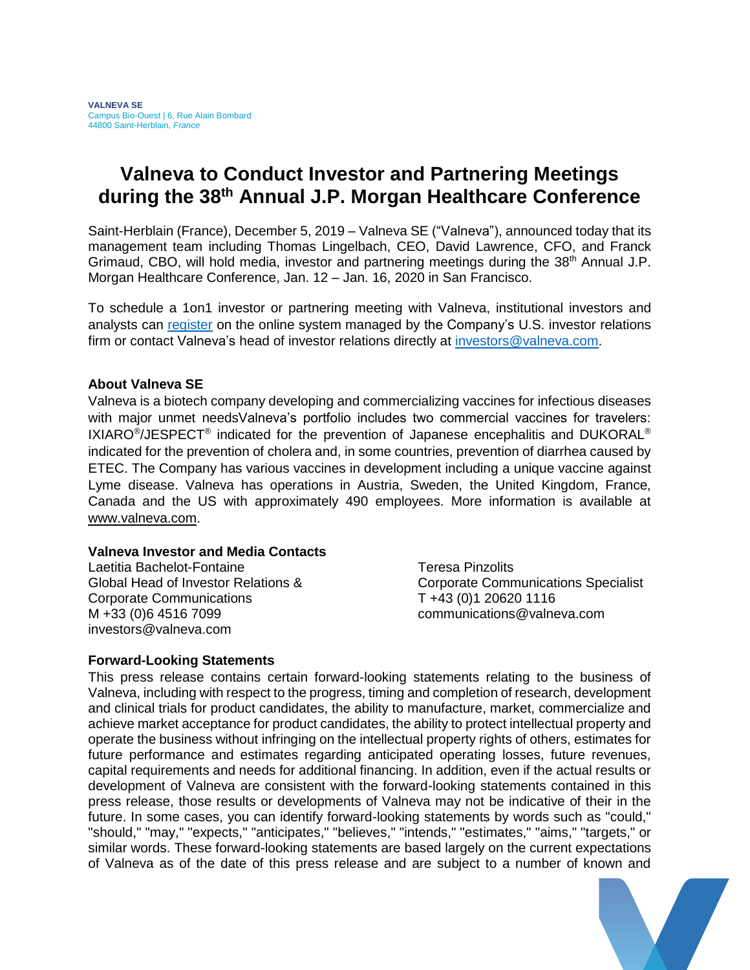## **Valneva to Conduct Investor and Partnering Meetings during the 38 th Annual J.P. Morgan Healthcare Conference**

Saint-Herblain (France), December 5, 2019 – Valneva SE ("Valneva"), announced today that its management team including Thomas Lingelbach, CEO, David Lawrence, CFO, and Franck Grimaud, CBO, will hold media, investor and partnering meetings during the 38<sup>th</sup> Annual J.P. Morgan Healthcare Conference, Jan. 12 – Jan. 16, 2020 in San Francisco.

To schedule a 1on1 investor or partnering meeting with Valneva, institutional investors and analysts can [register](https://lifesci.events/LifeSci2020_reg) on the online system managed by the Company's U.S. investor relations firm or contact Valneva's head of investor relations directly at [investors@valneva.com.](mailto:investors@valneva.com)

## **About Valneva SE**

Valneva is a biotech company developing and commercializing vaccines for infectious diseases with major unmet needsValneva's portfolio includes two commercial vaccines for travelers: IXIARO<sup>®</sup>/JESPECT<sup>®</sup> indicated for the prevention of Japanese encephalitis and DUKORAL<sup>®</sup> indicated for the prevention of cholera and, in some countries, prevention of diarrhea caused by ETEC. The Company has various vaccines in development including a unique vaccine against Lyme disease. Valneva has operations in Austria, Sweden, the United Kingdom, France, Canada and the US with approximately 490 employees. More information is available at [www.valneva.com.](http://www.valneva.com/)

## **Valneva Investor and Media Contacts**

Laetitia Bachelot-Fontaine Global Head of Investor Relations & Corporate Communications M +33 (0)6 4516 7099 investors@valneva.com

Teresa Pinzolits Corporate Communications Specialist T +43 (0)1 20620 1116 communications@valneva.com

## **Forward-Looking Statements**

This press release contains certain forward-looking statements relating to the business of Valneva, including with respect to the progress, timing and completion of research, development and clinical trials for product candidates, the ability to manufacture, market, commercialize and achieve market acceptance for product candidates, the ability to protect intellectual property and operate the business without infringing on the intellectual property rights of others, estimates for future performance and estimates regarding anticipated operating losses, future revenues, capital requirements and needs for additional financing. In addition, even if the actual results or development of Valneva are consistent with the forward-looking statements contained in this press release, those results or developments of Valneva may not be indicative of their in the future. In some cases, you can identify forward-looking statements by words such as "could," "should," "may," "expects," "anticipates," "believes," "intends," "estimates," "aims," "targets," or similar words. These forward-looking statements are based largely on the current expectations of Valneva as of the date of this press release and are subject to a number of known and